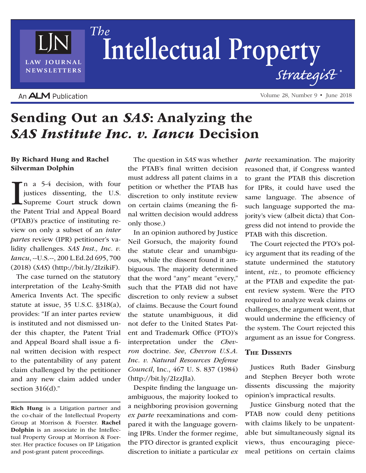## An **ALM** Publication

LAW JOURNAL **NEWSLETTERS** 

# Sending Out an *SAS*: Analyzing the *SAS Institute Inc. v. Iancu* Decision

## By Richard Hung and Rachel Silverman Dolphin

In a 5-4 decision, with four<br>justices dissenting, the U.S.<br>Supreme Court struck down<br>the Patent Trial and Appeal Board n a 5-4 decision, with four justices dissenting, the U.S. Supreme Court struck down (PTAB)'s practice of instituting review on only a subset of an *inter partes* review (IPR) petitioner's validity challenges. *SAS Inst., Inc. v. Iancu*, --U.S.--, 200 L.Ed.2d 695, 700 (2018) (*SAS*) (http://bit.ly/2IzikiF).

The case turned on the statutory interpretation of the Leahy-Smith America Invents Act. The specific statute at issue, 35 U.S.C. §318(a), provides: "If an inter partes review is instituted and not dismissed under this chapter, the Patent Trial and Appeal Board shall issue a final written decision with respect to the patentability of any patent claim challenged by the petitioner and any new claim added under section  $316(d)$ ."

The question in *SAS* was whether the PTAB's final written decision must address all patent claims in a petition or whether the PTAB has discretion to only institute review on certain claims (meaning the final written decision would address only those.)

In an opinion authored by Justice Neil Gorsuch, the majority found the statute clear and unambiguous, while the dissent found it ambiguous. The majority determined that the word "any" meant "every," such that the PTAB did not have discretion to only review a subset of claims. Because the Court found the statute unambiguous, it did not defer to the United States Patent and Trademark Office (PTO)'s interpretation under the *Chevron* doctrine. *See*, *Chevron U.S.A. Inc. v. Natural Resources Defense Council*, Inc., 467 U. S. 837 (1984) (http://bit.ly/2IzzJIa).

Despite finding the language unambiguous, the majority looked to a neighboring provision governing *ex parte* reexaminations and compared it with the language governing IPRs. Under the former regime, the PTO director is granted explicit discretion to initiate a particular *ex*  *parte* reexamination. The majority reasoned that, if Congress wanted to grant the PTAB this discretion for IPRs, it could have used the same language. The absence of such language supported the majority's view (albeit dicta) that Congress did not intend to provide the PTAB with this discretion.

The Court rejected the PTO's policy argument that its reading of the statute undermined the statutory intent, *viz.*, to promote efficiency at the PTAB and expedite the patent review system. Were the PTO required to analyze weak claims or challenges, the argument went, that would undermine the efficiency of the system. The Court rejected this argument as an issue for Congress.

### The Dissents

Justices Ruth Bader Ginsburg and Stephen Breyer both wrote dissents discussing the majority opinion's impractical results.

Justice Ginsburg noted that the PTAB now could deny petitions with claims likely to be unpatentable but simultaneously signal its views, thus encouraging piecemeal petitions on certain claims

Volume 28, Number 9 • June 2018

 $The$ Intellectual Property Strategist

Rich Hung is a Litigation partner and the co-chair of the Intellectual Property Group at Morrison & Foerster. Rachel Dolphin is an associate in the Intellectual Property Group at Morrison & Foerster. Her practice focuses on IP Litigation and post-grant patent proceedings.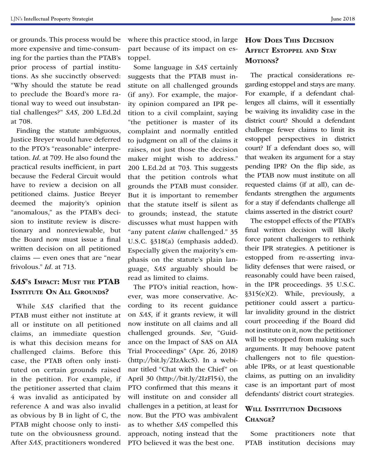or grounds. This process would be more expensive and time-consuming for the parties than the PTAB's prior process of partial institutions. As she succinctly observed: "Why should the statute be read to preclude the Board's more rational way to weed out insubstantial challenges?" *SAS*, 200 L.Ed.2d at 708.

Finding the statute ambiguous, Justice Breyer would have deferred to the PTO's "reasonable" interpretation. *Id*. at 709. He also found the practical results inefficient, in part because the Federal Circuit would have to review a decision on all petitioned claims. Justice Breyer deemed the majority's opinion "anomalous," as the PTAB's decision to institute review is discretionary and nonreviewable, but the Board now must issue a final written decision on all petitioned claims — even ones that are "near frivolous." *Id*. at 713.

## *SAS*'s Impact: Must the PTAB **INSTITUTE ON ALL GROUNDS?**

While *SAS* clarified that the PTAB must either not institute at all or institute on all petitioned claims, an immediate question is what this decision means for challenged claims. Before this case, the PTAB often only instituted on certain grounds raised in the petition. For example, if the petitioner asserted that claim 4 was invalid as anticipated by reference A and was also invalid as obvious by B in light of C, the PTAB might choose only to institute on the obviousness ground. After *SAS*, practitioners wondered

where this practice stood, in large part because of its impact on estoppel.

Some language in *SAS* certainly suggests that the PTAB must institute on all challenged grounds (if any). For example, the majority opinion compared an IPR petition to a civil complaint, saying "the petitioner is master of its complaint and normally entitled to judgment on all of the claims it raises, not just those the decision maker might wish to address." 200 L.Ed.2d at 703. This suggests that the petition controls what grounds the PTAB must consider. But it is important to remember that the statute itself is silent as to grounds; instead, the statute discusses what must happen with "any patent *claim* challenged." 35 U.S.C. §318(a) (emphasis added). Especially given the majority's emphasis on the statute's plain language, *SAS* arguably should be read as limited to claims.

The PTO's initial reaction, however, was more conservative. According to its recent guidance on *SAS*, if it grants review, it will now institute on all claims and all challenged grounds. *See*, "Guidance on the Impact of SAS on AIA Trial Proceedings" (Apr. 26, 2018) (http://bit.ly/2IzAkcS). In a webinar titled "Chat with the Chief" on April 30 (http://bit.ly/2IzFl54), the PTO confirmed that this means it will institute on and consider all challenges in a petition, at least for now. But the PTO was ambivalent as to whether *SAS* compelled this approach, noting instead that the PTO believed it was the best one.

## How Does This Decision Affect Estoppel and Stay MOTIONS?

The practical considerations regarding estoppel and stays are many. For example, if a defendant challenges all claims, will it essentially be waiving its invalidity case in the district court? Should a defendant challenge fewer claims to limit its estoppel perspectives in district court? If a defendant does so, will that weaken its argument for a stay pending IPR? On the flip side, as the PTAB now must institute on all requested claims (if at all), can defendants strengthen the arguments for a stay if defendants challenge all claims asserted in the district court?

The estoppel effects of the PTAB's final written decision will likely force patent challengers to rethink their IPR strategies. A petitioner is estopped from re-asserting invalidity defenses that were raised, or reasonably could have been raised, in the IPR proceedings. 35 U.S.C. §315(e)(2). While, previously, a petitioner could assert a particular invalidity ground in the district court proceeding if the Board did not institute on it, now the petitioner will be estopped from making such arguments. It may behoove patent challengers not to file questionable IPRs, or at least questionable claims, as putting on an invalidity case is an important part of most defendants' district court strategies.

## WILL INSTITUTION DECISIONS CHANGE?

Some practitioners note that PTAB institution decisions may